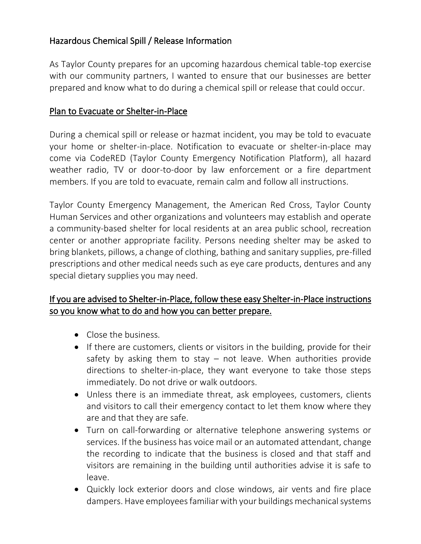## Hazardous Chemical Spill / Release Information

As Taylor County prepares for an upcoming hazardous chemical table-top exercise with our community partners, I wanted to ensure that our businesses are better prepared and know what to do during a chemical spill or release that could occur.

## Plan to Evacuate or Shelter-in-Place

During a chemical spill or release or hazmat incident, you may be told to evacuate your home or shelter-in-place. Notification to evacuate or shelter-in-place may come via CodeRED (Taylor County Emergency Notification Platform), all hazard weather radio, TV or door-to-door by law enforcement or a fire department members. If you are told to evacuate, remain calm and follow all instructions.

Taylor County Emergency Management, the American Red Cross, Taylor County Human Services and other organizations and volunteers may establish and operate a community-based shelter for local residents at an area public school, recreation center or another appropriate facility. Persons needing shelter may be asked to bring blankets, pillows, a change of clothing, bathing and sanitary supplies, pre-filled prescriptions and other medical needs such as eye care products, dentures and any special dietary supplies you may need.

## If you are advised to Shelter-in-Place, follow these easy Shelter-in-Place instructions so you know what to do and how you can better prepare.

- Close the business.
- If there are customers, clients or visitors in the building, provide for their safety by asking them to stay  $-$  not leave. When authorities provide directions to shelter-in-place, they want everyone to take those steps immediately. Do not drive or walk outdoors.
- Unless there is an immediate threat, ask employees, customers, clients and visitors to call their emergency contact to let them know where they are and that they are safe.
- Turn on call-forwarding or alternative telephone answering systems or services. If the business has voice mail or an automated attendant, change the recording to indicate that the business is closed and that staff and visitors are remaining in the building until authorities advise it is safe to leave.
- Quickly lock exterior doors and close windows, air vents and fire place dampers. Have employees familiar with your buildings mechanical systems